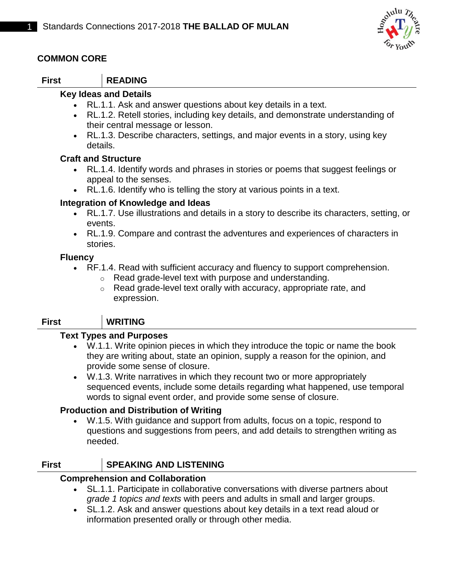

## **COMMON CORE**

# **First READING**

## **Key Ideas and Details**

- RL.1.1. Ask and answer questions about key details in a text.
- RL.1.2. Retell stories, including key details, and demonstrate understanding of their central message or lesson.
- RL.1.3. Describe characters, settings, and major events in a story, using key details.

#### **Craft and Structure**

- RL.1.4. Identify words and phrases in stories or poems that suggest feelings or appeal to the senses.
- RL.1.6. Identify who is telling the story at various points in a text.

#### **Integration of Knowledge and Ideas**

- RL.1.7. Use illustrations and details in a story to describe its characters, setting, or events.
- RL.1.9. Compare and contrast the adventures and experiences of characters in stories.

#### **Fluency**

- RF.1.4. Read with sufficient accuracy and fluency to support comprehension.
	- o Read grade-level text with purpose and understanding.
	- o Read grade-level text orally with accuracy, appropriate rate, and expression.

#### **First WRITING**

#### **Text Types and Purposes**

- W.1.1. Write opinion pieces in which they introduce the topic or name the book they are writing about, state an opinion, supply a reason for the opinion, and provide some sense of closure.
- W.1.3. Write narratives in which they recount two or more appropriately sequenced events, include some details regarding what happened, use temporal words to signal event order, and provide some sense of closure.

## **Production and Distribution of Writing**

 W.1.5. With guidance and support from adults, focus on a topic, respond to questions and suggestions from peers, and add details to strengthen writing as needed.

## **First SPEAKING AND LISTENING**

#### **Comprehension and Collaboration**

- SL.1.1. Participate in collaborative conversations with diverse partners about *grade 1 topics and texts* with peers and adults in small and larger groups.
- SL.1.2. Ask and answer questions about key details in a text read aloud or information presented orally or through other media.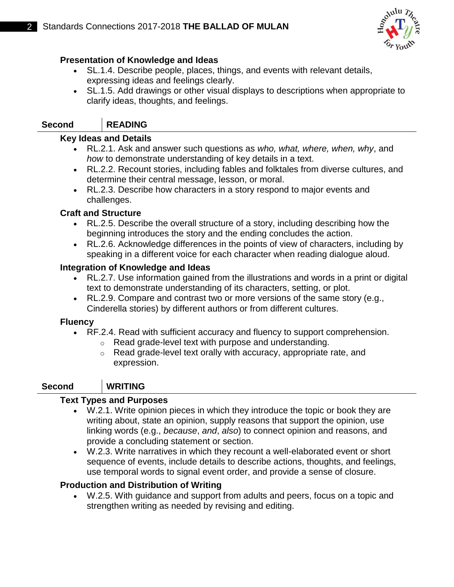

## **Presentation of Knowledge and Ideas**

- SL.1.4. Describe people, places, things, and events with relevant details, expressing ideas and feelings clearly.
- SL.1.5. Add drawings or other visual displays to descriptions when appropriate to clarify ideas, thoughts, and feelings.

# **Second READING**

## **Key Ideas and Details**

- RL.2.1. Ask and answer such questions as *who, what, where, when, why*, and *how* to demonstrate understanding of key details in a text.
- RL.2.2. Recount stories, including fables and folktales from diverse cultures, and determine their central message, lesson, or moral.
- RL.2.3. Describe how characters in a story respond to major events and challenges.

## **Craft and Structure**

- RL.2.5. Describe the overall structure of a story, including describing how the beginning introduces the story and the ending concludes the action.
- RL.2.6. Acknowledge differences in the points of view of characters, including by speaking in a different voice for each character when reading dialogue aloud.

## **Integration of Knowledge and Ideas**

- RL.2.7. Use information gained from the illustrations and words in a print or digital text to demonstrate understanding of its characters, setting, or plot.
- RL.2.9. Compare and contrast two or more versions of the same story (e.g., Cinderella stories) by different authors or from different cultures.

## **Fluency**

- RF.2.4. Read with sufficient accuracy and fluency to support comprehension.
	- o Read grade-level text with purpose and understanding.
	- o Read grade-level text orally with accuracy, appropriate rate, and expression.

# **Second WRITING**

## **Text Types and Purposes**

- W.2.1. Write opinion pieces in which they introduce the topic or book they are writing about, state an opinion, supply reasons that support the opinion, use linking words (e.g., *because*, *and*, *also*) to connect opinion and reasons, and provide a concluding statement or section.
- W.2.3. Write narratives in which they recount a well-elaborated event or short sequence of events, include details to describe actions, thoughts, and feelings, use temporal words to signal event order, and provide a sense of closure.

## **Production and Distribution of Writing**

 W.2.5. With guidance and support from adults and peers, focus on a topic and strengthen writing as needed by revising and editing.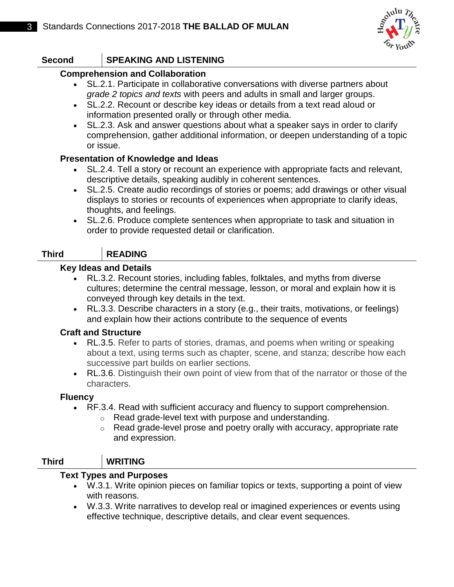

# **Second SPEAKING AND LISTENING**

### **Comprehension and Collaboration**

- SL.2.1. Participate in collaborative conversations with diverse partners about *grade 2 topics and texts* with peers and adults in small and larger groups.
- SL.2.2. Recount or describe key ideas or details from a text read aloud or information presented orally or through other media.
- SL.2.3. Ask and answer questions about what a speaker says in order to clarify comprehension, gather additional information, or deepen understanding of a topic or issue.

#### **Presentation of Knowledge and Ideas**

- SL.2.4. Tell a story or recount an experience with appropriate facts and relevant, descriptive details, speaking audibly in coherent sentences.
- SL.2.5. Create audio recordings of stories or poems; add drawings or other visual displays to stories or recounts of experiences when appropriate to clarify ideas, thoughts, and feelings.
- SL.2.6. Produce complete sentences when appropriate to task and situation in order to provide requested detail or clarification.

## **Third READING**

#### **Key Ideas and Details**

- RL.3.2. Recount stories, including fables, folktales, and myths from diverse cultures; determine the central message, lesson, or moral and explain how it is conveyed through key details in the text.
- RL.3.3. Describe characters in a story (e.g., their traits, motivations, or feelings) and explain how their actions contribute to the sequence of events

## **Craft and Structure**

- RL.3.5. Refer to parts of stories, dramas, and poems when writing or speaking about a text, using terms such as chapter, scene, and stanza; describe how each successive part builds on earlier sections.
- RL.3.6. Distinguish their own point of view from that of the narrator or those of the characters.

## **Fluency**

- RF.3.4. Read with sufficient accuracy and fluency to support comprehension.
	- o Read grade-level text with purpose and understanding.
	- o Read grade-level prose and poetry orally with accuracy, appropriate rate and expression.

# **Third WRITING**

#### **Text Types and Purposes**

- W.3.1. Write opinion pieces on familiar topics or texts, supporting a point of view with reasons.
- W.3.3. Write narratives to develop real or imagined experiences or events using effective technique, descriptive details, and clear event sequences.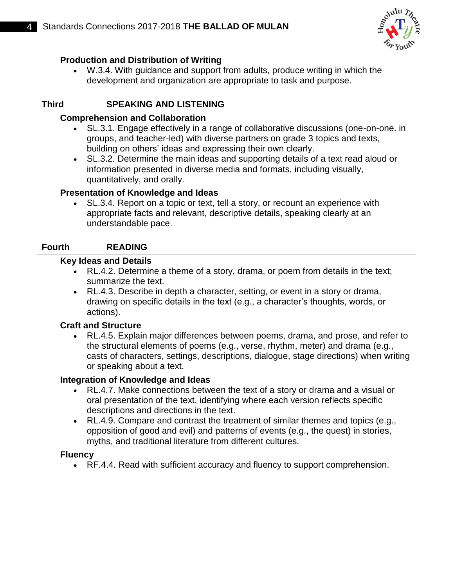

## **Production and Distribution of Writing**

 W.3.4. With guidance and support from adults, produce writing in which the development and organization are appropriate to task and purpose.

# **Third SPEAKING AND LISTENING**

#### **Comprehension and Collaboration**

- SL.3.1. Engage effectively in a range of collaborative discussions (one-on-one. in groups, and teacher-led) with diverse partners on grade 3 topics and texts, building on others' ideas and expressing their own clearly.
- SL.3.2. Determine the main ideas and supporting details of a text read aloud or information presented in diverse media and formats, including visually, quantitatively, and orally.

## **Presentation of Knowledge and Ideas**

 SL.3.4. Report on a topic or text, tell a story, or recount an experience with appropriate facts and relevant, descriptive details, speaking clearly at an understandable pace.

# **Fourth READING**

#### **Key Ideas and Details**

- RL.4.2. Determine a theme of a story, drama, or poem from details in the text; summarize the text.
- RL.4.3. Describe in depth a character, setting, or event in a story or drama, drawing on specific details in the text (e.g., a character's thoughts, words, or actions).

## **Craft and Structure**

 RL.4.5. Explain major differences between poems, drama, and prose, and refer to the structural elements of poems (e.g., verse, rhythm, meter) and drama (e.g., casts of characters, settings, descriptions, dialogue, stage directions) when writing or speaking about a text.

#### **Integration of Knowledge and Ideas**

- RL.4.7. Make connections between the text of a story or drama and a visual or oral presentation of the text, identifying where each version reflects specific descriptions and directions in the text.
- RL.4.9. Compare and contrast the treatment of similar themes and topics (e.g., opposition of good and evil) and patterns of events (e.g., the quest) in stories, myths, and traditional literature from different cultures.

## **Fluency**

RF.4.4. Read with sufficient accuracy and fluency to support comprehension.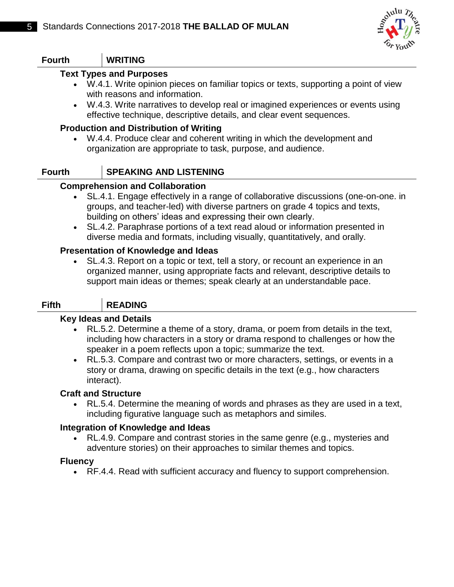

| <b>Fourth</b>  | <b>WRITING</b>                                                                                                                                                                                                                                                                                                                                                                                                                                                                                                                                                                                                                                                                                                                        |
|----------------|---------------------------------------------------------------------------------------------------------------------------------------------------------------------------------------------------------------------------------------------------------------------------------------------------------------------------------------------------------------------------------------------------------------------------------------------------------------------------------------------------------------------------------------------------------------------------------------------------------------------------------------------------------------------------------------------------------------------------------------|
|                |                                                                                                                                                                                                                                                                                                                                                                                                                                                                                                                                                                                                                                                                                                                                       |
| $\bullet$      | <b>Text Types and Purposes</b><br>W.4.1. Write opinion pieces on familiar topics or texts, supporting a point of view<br>with reasons and information.<br>W.4.3. Write narratives to develop real or imagined experiences or events using<br>effective technique, descriptive details, and clear event sequences.                                                                                                                                                                                                                                                                                                                                                                                                                     |
|                | <b>Production and Distribution of Writing</b><br>W.4.4. Produce clear and coherent writing in which the development and<br>organization are appropriate to task, purpose, and audience.                                                                                                                                                                                                                                                                                                                                                                                                                                                                                                                                               |
| <b>Fourth</b>  | <b>SPEAKING AND LISTENING</b>                                                                                                                                                                                                                                                                                                                                                                                                                                                                                                                                                                                                                                                                                                         |
| $\bullet$      | <b>Comprehension and Collaboration</b><br>SL.4.1. Engage effectively in a range of collaborative discussions (one-on-one. in<br>groups, and teacher-led) with diverse partners on grade 4 topics and texts,<br>building on others' ideas and expressing their own clearly.<br>SL.4.2. Paraphrase portions of a text read aloud or information presented in<br>diverse media and formats, including visually, quantitatively, and orally.<br><b>Presentation of Knowledge and Ideas</b><br>SL.4.3. Report on a topic or text, tell a story, or recount an experience in an<br>organized manner, using appropriate facts and relevant, descriptive details to<br>support main ideas or themes; speak clearly at an understandable pace. |
| <b>Fifth</b>   | <b>READING</b>                                                                                                                                                                                                                                                                                                                                                                                                                                                                                                                                                                                                                                                                                                                        |
| $\bullet$      | <b>Key Ideas and Details</b><br>RL.5.2. Determine a theme of a story, drama, or poem from details in the text,<br>including how characters in a story or drama respond to challenges or how the<br>speaker in a poem reflects upon a topic; summarize the text.<br>RL.5.3. Compare and contrast two or more characters, settings, or events in a<br>story or drama, drawing on specific details in the text (e.g., how characters<br>interact).                                                                                                                                                                                                                                                                                       |
|                | <b>Craft and Structure</b><br>RL.5.4. Determine the meaning of words and phrases as they are used in a text,<br>including figurative language such as metaphors and similes.                                                                                                                                                                                                                                                                                                                                                                                                                                                                                                                                                          |
| <b>Fluency</b> | Integration of Knowledge and Ideas<br>RL.4.9. Compare and contrast stories in the same genre (e.g., mysteries and<br>adventure stories) on their approaches to similar themes and topics.                                                                                                                                                                                                                                                                                                                                                                                                                                                                                                                                             |
|                |                                                                                                                                                                                                                                                                                                                                                                                                                                                                                                                                                                                                                                                                                                                                       |

RF.4.4. Read with sufficient accuracy and fluency to support comprehension.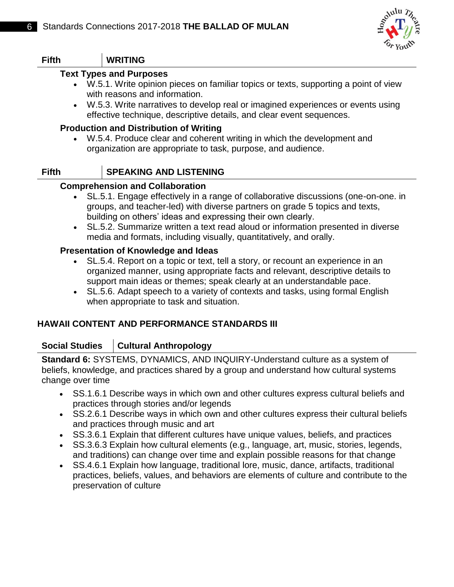

## **Fifth WRITING**

#### **Text Types and Purposes**

- W.5.1. Write opinion pieces on familiar topics or texts, supporting a point of view with reasons and information.
- W.5.3. Write narratives to develop real or imagined experiences or events using effective technique, descriptive details, and clear event sequences.

#### **Production and Distribution of Writing**

 W.5.4. Produce clear and coherent writing in which the development and organization are appropriate to task, purpose, and audience.

#### **Fifth SPEAKING AND LISTENING**

#### **Comprehension and Collaboration**

- SL.5.1. Engage effectively in a range of collaborative discussions (one-on-one. in groups, and teacher-led) with diverse partners on grade 5 topics and texts, building on others' ideas and expressing their own clearly.
- SL.5.2. Summarize written a text read aloud or information presented in diverse media and formats, including visually, quantitatively, and orally.

#### **Presentation of Knowledge and Ideas**

- SL.5.4. Report on a topic or text, tell a story, or recount an experience in an organized manner, using appropriate facts and relevant, descriptive details to support main ideas or themes; speak clearly at an understandable pace.
- SL.5.6. Adapt speech to a variety of contexts and tasks, using formal English when appropriate to task and situation.

#### **HAWAII CONTENT AND PERFORMANCE STANDARDS III**

#### **Social Studies Cultural Anthropology**

**Standard 6:** SYSTEMS, DYNAMICS, AND INQUIRY-Understand culture as a system of beliefs, knowledge, and practices shared by a group and understand how cultural systems change over time

- SS.1.6.1 Describe ways in which own and other cultures express cultural beliefs and practices through stories and/or legends
- SS.2.6.1 Describe ways in which own and other cultures express their cultural beliefs and practices through music and art
- SS.3.6.1 Explain that different cultures have unique values, beliefs, and practices
- SS.3.6.3 Explain how cultural elements (e.g., language, art, music, stories, legends, and traditions) can change over time and explain possible reasons for that change
- SS.4.6.1 Explain how language, traditional lore, music, dance, artifacts, traditional practices, beliefs, values, and behaviors are elements of culture and contribute to the preservation of culture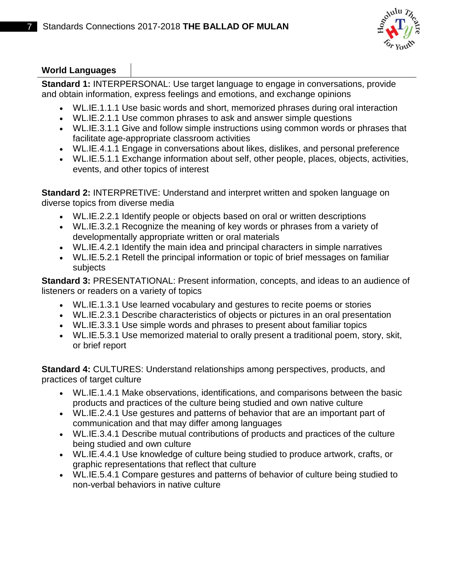

## **World Languages**

**Standard 1:** INTERPERSONAL: Use target language to engage in conversations, provide and obtain information, express feelings and emotions, and exchange opinions

- WL.IE.1.1.1 Use basic words and short, memorized phrases during oral interaction
- WL.IE.2.1.1 Use common phrases to ask and answer simple questions
- WL.IE.3.1.1 Give and follow simple instructions using common words or phrases that facilitate age-appropriate classroom activities
- WL.IE.4.1.1 Engage in conversations about likes, dislikes, and personal preference
- WL.IE.5.1.1 Exchange information about self, other people, places, objects, activities, events, and other topics of interest

**Standard 2:** INTERPRETIVE: Understand and interpret written and spoken language on diverse topics from diverse media

- WL.IE.2.2.1 Identify people or objects based on oral or written descriptions
- WL.IE.3.2.1 Recognize the meaning of key words or phrases from a variety of developmentally appropriate written or oral materials
- WL.IE.4.2.1 Identify the main idea and principal characters in simple narratives
- WL.IE.5.2.1 Retell the principal information or topic of brief messages on familiar subjects

**Standard 3:** PRESENTATIONAL: Present information, concepts, and ideas to an audience of listeners or readers on a variety of topics

- WL.IE.1.3.1 Use learned vocabulary and gestures to recite poems or stories
- WL.IE.2.3.1 Describe characteristics of objects or pictures in an oral presentation
- WL.IE.3.3.1 Use simple words and phrases to present about familiar topics
- WL.IE.5.3.1 Use memorized material to orally present a traditional poem, story, skit, or brief report

**Standard 4:** CULTURES: Understand relationships among perspectives, products, and practices of target culture

- WL.IE.1.4.1 Make observations, identifications, and comparisons between the basic products and practices of the culture being studied and own native culture
- WL.IE.2.4.1 Use gestures and patterns of behavior that are an important part of communication and that may differ among languages
- WL.IE.3.4.1 Describe mutual contributions of products and practices of the culture being studied and own culture
- WL.IE.4.4.1 Use knowledge of culture being studied to produce artwork, crafts, or graphic representations that reflect that culture
- WL.IE.5.4.1 Compare gestures and patterns of behavior of culture being studied to non-verbal behaviors in native culture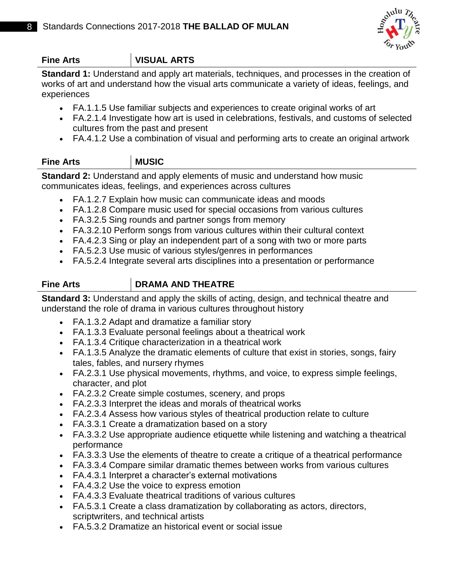

# **Fine Arts VISUAL ARTS**

**Standard 1:** Understand and apply art materials, techniques, and processes in the creation of works of art and understand how the visual arts communicate a variety of ideas, feelings, and experiences

- FA.1.1.5 Use familiar subjects and experiences to create original works of art
- FA.2.1.4 Investigate how art is used in celebrations, festivals, and customs of selected cultures from the past and present
- FA.4.1.2 Use a combination of visual and performing arts to create an original artwork

# **Fine Arts MUSIC**

**Standard 2:** Understand and apply elements of music and understand how music communicates ideas, feelings, and experiences across cultures

- FA.1.2.7 Explain how music can communicate ideas and moods
- FA.1.2.8 Compare music used for special occasions from various cultures
- FA.3.2.5 Sing rounds and partner songs from memory
- FA.3.2.10 Perform songs from various cultures within their cultural context
- FA.4.2.3 Sing or play an independent part of a song with two or more parts
- FA.5.2.3 Use music of various styles/genres in performances
- FA.5.2.4 Integrate several arts disciplines into a presentation or performance

## **Fine Arts DRAMA AND THEATRE**

**Standard 3:** Understand and apply the skills of acting, design, and technical theatre and understand the role of drama in various cultures throughout history

- FA.1.3.2 Adapt and dramatize a familiar story
- FA.1.3.3 Evaluate personal feelings about a theatrical work
- FA.1.3.4 Critique characterization in a theatrical work
- FA.1.3.5 Analyze the dramatic elements of culture that exist in stories, songs, fairy tales, fables, and nursery rhymes
- FA.2.3.1 Use physical movements, rhythms, and voice, to express simple feelings, character, and plot
- FA.2.3.2 Create simple costumes, scenery, and props
- FA.2.3.3 Interpret the ideas and morals of theatrical works
- FA.2.3.4 Assess how various styles of theatrical production relate to culture
- FA.3.3.1 Create a dramatization based on a story
- FA.3.3.2 Use appropriate audience etiquette while listening and watching a theatrical performance
- FA.3.3.3 Use the elements of theatre to create a critique of a theatrical performance
- FA.3.3.4 Compare similar dramatic themes between works from various cultures
- FA.4.3.1 Interpret a character's external motivations
- FA.4.3.2 Use the voice to express emotion
- FA.4.3.3 Evaluate theatrical traditions of various cultures
- FA.5.3.1 Create a class dramatization by collaborating as actors, directors, scriptwriters, and technical artists
- FA.5.3.2 Dramatize an historical event or social issue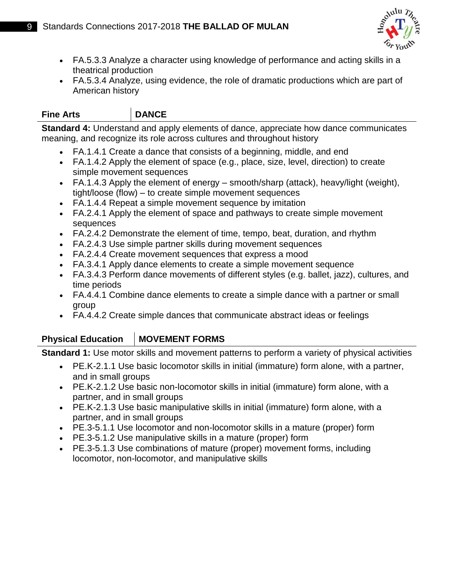

- FA.5.3.3 Analyze a character using knowledge of performance and acting skills in a theatrical production
- FA.5.3.4 Analyze, using evidence, the role of dramatic productions which are part of American history

# **Fine Arts DANCE**

**Standard 4:** Understand and apply elements of dance, appreciate how dance communicates meaning, and recognize its role across cultures and throughout history

- FA.1.4.1 Create a dance that consists of a beginning, middle, and end
- FA.1.4.2 Apply the element of space (e.g., place, size, level, direction) to create simple movement sequences
- FA.1.4.3 Apply the element of energy smooth/sharp (attack), heavy/light (weight), tight/loose (flow) – to create simple movement sequences
- FA.1.4.4 Repeat a simple movement sequence by imitation
- FA.2.4.1 Apply the element of space and pathways to create simple movement sequences
- FA.2.4.2 Demonstrate the element of time, tempo, beat, duration, and rhythm
- FA.2.4.3 Use simple partner skills during movement sequences
- FA.2.4.4 Create movement sequences that express a mood
- FA.3.4.1 Apply dance elements to create a simple movement sequence
- FA.3.4.3 Perform dance movements of different styles (e.g. ballet, jazz), cultures, and time periods
- FA.4.4.1 Combine dance elements to create a simple dance with a partner or small group
- FA.4.4.2 Create simple dances that communicate abstract ideas or feelings

# **Physical Education MOVEMENT FORMS**

**Standard 1:** Use motor skills and movement patterns to perform a variety of physical activities

- PE.K-2.1.1 Use basic locomotor skills in initial (immature) form alone, with a partner, and in small groups
- PE.K-2.1.2 Use basic non-locomotor skills in initial (immature) form alone, with a partner, and in small groups
- PE.K-2.1.3 Use basic manipulative skills in initial (immature) form alone, with a partner, and in small groups
- PE.3-5.1.1 Use locomotor and non-locomotor skills in a mature (proper) form
- PE.3-5.1.2 Use manipulative skills in a mature (proper) form
- PE.3-5.1.3 Use combinations of mature (proper) movement forms, including locomotor, non-locomotor, and manipulative skills